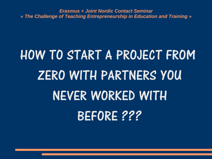## HOW TO START A PROJECT FROM ZERO WITH PARTNERS YOU NEVER WORKED WITH BEFORE ???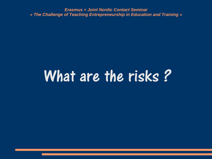### What are the risks?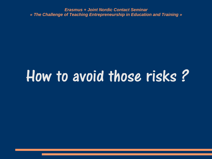#### How to avoid those risks ?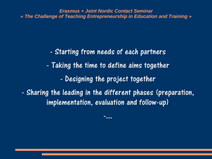- Starting from needs of each partners
- Taking the time to define aims together
	- Designing the project together
- Sharing the leading in the different phases (preparation, implementation, evaluation and follow-up)

-...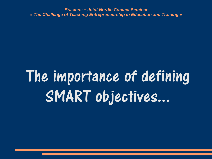## The importance of defining SMART objectives...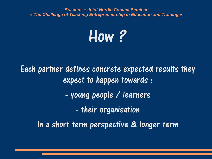

Each partner defines concrete expected results they expect to happen towards : - young people / learners - their organisation In a short term perspective & longer term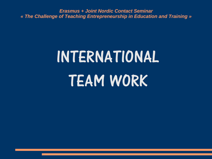# INTERNATIONAL TEAM WORK